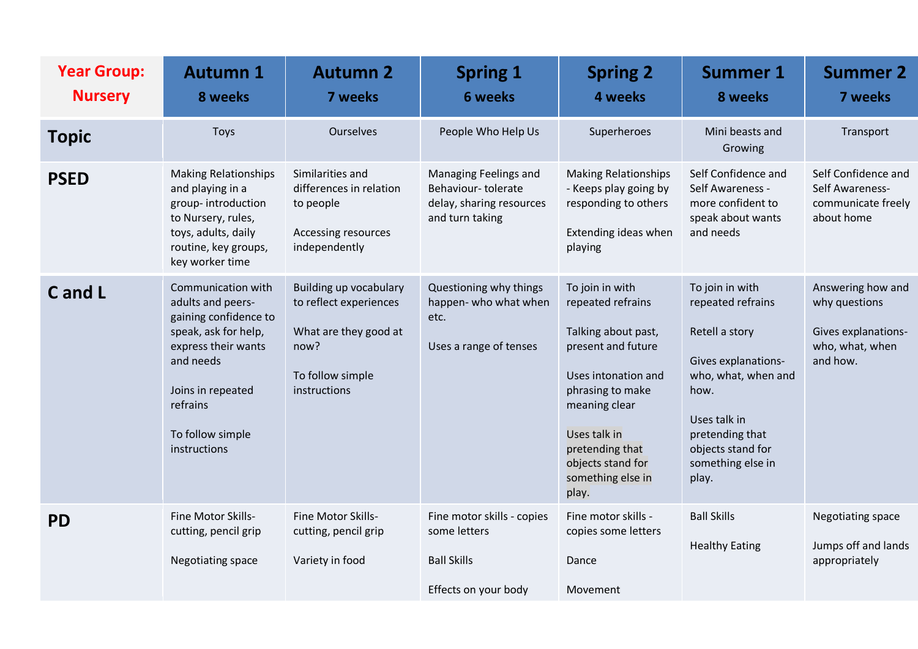| <b>Year Group:</b><br><b>Nursery</b> | <b>Autumn 1</b><br>8 weeks                                                                                                                                                                        | <b>Autumn 2</b><br>7 weeks                                                                                            | <b>Spring 1</b><br><b>6 weeks</b>                                                          | <b>Spring 2</b><br>4 weeks                                                                                                                                                                                                          | <b>Summer 1</b><br>8 weeks                                                                                                                                                                         | <b>Summer 2</b><br>7 weeks                                                               |
|--------------------------------------|---------------------------------------------------------------------------------------------------------------------------------------------------------------------------------------------------|-----------------------------------------------------------------------------------------------------------------------|--------------------------------------------------------------------------------------------|-------------------------------------------------------------------------------------------------------------------------------------------------------------------------------------------------------------------------------------|----------------------------------------------------------------------------------------------------------------------------------------------------------------------------------------------------|------------------------------------------------------------------------------------------|
| <b>Topic</b>                         | <b>Toys</b>                                                                                                                                                                                       | <b>Ourselves</b>                                                                                                      | People Who Help Us                                                                         | Superheroes                                                                                                                                                                                                                         | Mini beasts and<br>Growing                                                                                                                                                                         | Transport                                                                                |
| <b>PSED</b>                          | <b>Making Relationships</b><br>and playing in a<br>group-introduction<br>to Nursery, rules,<br>toys, adults, daily<br>routine, key groups,<br>key worker time                                     | Similarities and<br>differences in relation<br>to people<br>Accessing resources<br>independently                      | Managing Feelings and<br>Behaviour-tolerate<br>delay, sharing resources<br>and turn taking | <b>Making Relationships</b><br>- Keeps play going by<br>responding to others<br>Extending ideas when<br>playing                                                                                                                     | Self Confidence and<br>Self Awareness -<br>more confident to<br>speak about wants<br>and needs                                                                                                     | Self Confidence and<br>Self Awareness-<br>communicate freely<br>about home               |
| C and L                              | Communication with<br>adults and peers-<br>gaining confidence to<br>speak, ask for help,<br>express their wants<br>and needs<br>Joins in repeated<br>refrains<br>To follow simple<br>instructions | Building up vocabulary<br>to reflect experiences<br>What are they good at<br>now?<br>To follow simple<br>instructions | Questioning why things<br>happen- who what when<br>etc.<br>Uses a range of tenses          | To join in with<br>repeated refrains<br>Talking about past,<br>present and future<br>Uses intonation and<br>phrasing to make<br>meaning clear<br>Uses talk in<br>pretending that<br>objects stand for<br>something else in<br>play. | To join in with<br>repeated refrains<br>Retell a story<br>Gives explanations-<br>who, what, when and<br>how.<br>Uses talk in<br>pretending that<br>objects stand for<br>something else in<br>play. | Answering how and<br>why questions<br>Gives explanations-<br>who, what, when<br>and how. |
| <b>PD</b>                            | Fine Motor Skills-<br>cutting, pencil grip<br>Negotiating space                                                                                                                                   | Fine Motor Skills-<br>cutting, pencil grip<br>Variety in food                                                         | Fine motor skills - copies<br>some letters<br><b>Ball Skills</b><br>Effects on your body   | Fine motor skills -<br>copies some letters<br>Dance<br>Movement                                                                                                                                                                     | <b>Ball Skills</b><br><b>Healthy Eating</b>                                                                                                                                                        | Negotiating space<br>Jumps off and lands<br>appropriately                                |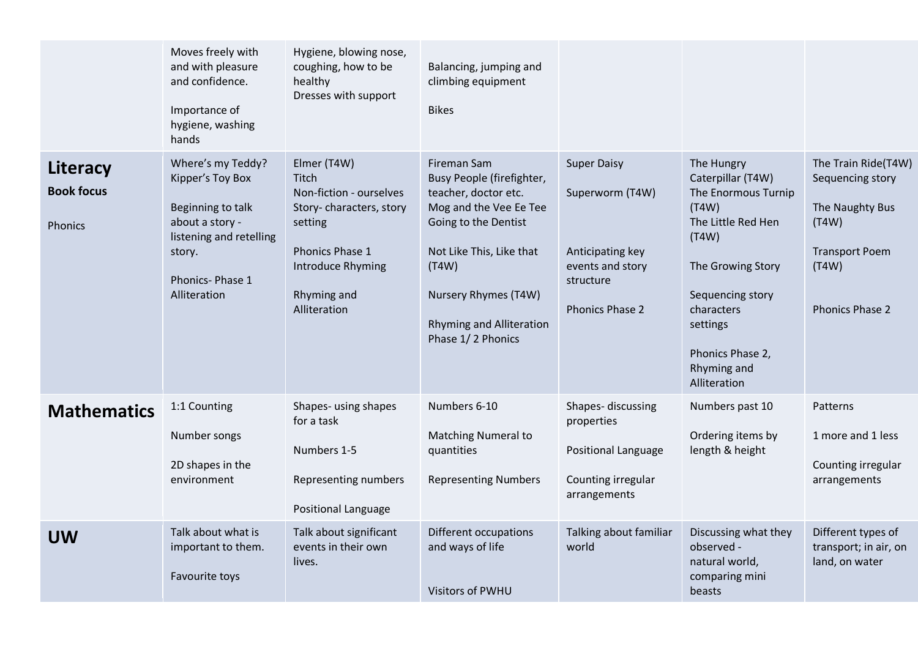|                                                 | Moves freely with<br>and with pleasure<br>and confidence.<br>Importance of<br>hygiene, washing<br>hands                                               | Hygiene, blowing nose,<br>coughing, how to be<br>healthy<br>Dresses with support                                                                             | Balancing, jumping and<br>climbing equipment<br><b>Bikes</b>                                                                                                                                                                            |                                                                                                               |                                                                                                                                                                                                                      |                                                                                                                          |
|-------------------------------------------------|-------------------------------------------------------------------------------------------------------------------------------------------------------|--------------------------------------------------------------------------------------------------------------------------------------------------------------|-----------------------------------------------------------------------------------------------------------------------------------------------------------------------------------------------------------------------------------------|---------------------------------------------------------------------------------------------------------------|----------------------------------------------------------------------------------------------------------------------------------------------------------------------------------------------------------------------|--------------------------------------------------------------------------------------------------------------------------|
| Literacy<br><b>Book focus</b><br><b>Phonics</b> | Where's my Teddy?<br>Kipper's Toy Box<br>Beginning to talk<br>about a story -<br>listening and retelling<br>story.<br>Phonics-Phase 1<br>Alliteration | Elmer (T4W)<br>Titch<br>Non-fiction - ourselves<br>Story-characters, story<br>setting<br>Phonics Phase 1<br>Introduce Rhyming<br>Rhyming and<br>Alliteration | Fireman Sam<br>Busy People (firefighter,<br>teacher, doctor etc.<br>Mog and the Vee Ee Tee<br>Going to the Dentist<br>Not Like This, Like that<br>(T4W)<br>Nursery Rhymes (T4W)<br><b>Rhyming and Alliteration</b><br>Phase 1/2 Phonics | <b>Super Daisy</b><br>Superworm (T4W)<br>Anticipating key<br>events and story<br>structure<br>Phonics Phase 2 | The Hungry<br>Caterpillar (T4W)<br>The Enormous Turnip<br>(T4W)<br>The Little Red Hen<br>(T4W)<br>The Growing Story<br>Sequencing story<br>characters<br>settings<br>Phonics Phase 2,<br>Rhyming and<br>Alliteration | The Train Ride(T4W)<br>Sequencing story<br>The Naughty Bus<br>(T4W)<br><b>Transport Poem</b><br>(T4W)<br>Phonics Phase 2 |
| <b>Mathematics</b>                              | 1:1 Counting<br>Number songs<br>2D shapes in the<br>environment                                                                                       | Shapes- using shapes<br>for a task<br>Numbers 1-5<br>Representing numbers<br><b>Positional Language</b>                                                      | Numbers 6-10<br><b>Matching Numeral to</b><br>quantities<br><b>Representing Numbers</b>                                                                                                                                                 | Shapes-discussing<br>properties<br>Positional Language<br>Counting irregular<br>arrangements                  | Numbers past 10<br>Ordering items by<br>length & height                                                                                                                                                              | Patterns<br>1 more and 1 less<br>Counting irregular<br>arrangements                                                      |
| <b>UW</b>                                       | Talk about what is<br>important to them.<br>Favourite toys                                                                                            | Talk about significant<br>events in their own<br>lives.                                                                                                      | Different occupations<br>and ways of life<br><b>Visitors of PWHU</b>                                                                                                                                                                    | Talking about familiar<br>world                                                                               | Discussing what they<br>observed -<br>natural world,<br>comparing mini<br><b>beasts</b>                                                                                                                              | Different types of<br>transport; in air, on<br>land, on water                                                            |